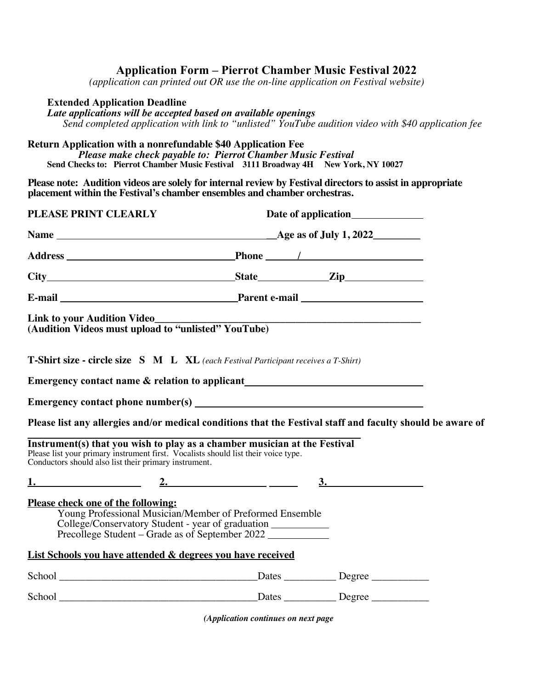# **Application Form – Pierrot Chamber Music Festival 2022**

*(application can printed out OR use the on-line application on Festival website)*

### **Extended Application Deadline**

*Late applications will be accepted based on available openings**Send completed application with link to "unlisted" YouTube audition video with \$40 application fee*

#### **Return Application with a nonrefundable \$40 Application Fee**

*Please make check payable to: Pierrot Chamber Music Festival* **Send Checks to: Pierrot Chamber Music Festival 3111 Broadway 4H New York, NY 10027** 

**Please note: Audition videos are solely for internal review by Festival directors to assist in appropriate placement within the Festival's chamber ensembles and chamber orchestras.**

| PLEASE PRINT CLEARLY                                                                                                                                                                                                           |    |  |
|--------------------------------------------------------------------------------------------------------------------------------------------------------------------------------------------------------------------------------|----|--|
|                                                                                                                                                                                                                                |    |  |
|                                                                                                                                                                                                                                |    |  |
|                                                                                                                                                                                                                                |    |  |
| E-mail Parent e-mail Parent e-mail Parent e-mail Parent e-mail Parent e-mail Parent e-mail Parent e-mail Parent e-mail Parent e-mail Parent e-mail Parent e-mail Parent e-mail Parent e-mail Parent e-mail Parent e-mail Paren |    |  |
| <b>Link to your Audition Video_</b>                                                                                                                                                                                            |    |  |
| <b>T-Shirt size - circle size S M L XL</b> (each Festival Participant receives a T-Shirt)                                                                                                                                      |    |  |
| Emergency contact name & relation to applicant<br><u>Emergency contact name &amp; relation to applicant</u>                                                                                                                    |    |  |
|                                                                                                                                                                                                                                |    |  |
| Please list any allergies and/or medical conditions that the Festival staff and faculty should be aware of                                                                                                                     |    |  |
| Instrument(s) that you wish to play as a chamber musician at the Festival<br>Please list your primary instrument first. Vocalists should list their voice type.<br>Conductors should also list their primary instrument.       |    |  |
| 1. $2.$                                                                                                                                                                                                                        | 3. |  |
| Please check one of the following:<br>Young Professional Musician/Member of Preformed Ensemble<br>College/Conservatory Student - year of graduation __________<br>Precollege Student – Grade as of September 2022              |    |  |
| List Schools you have attended & degrees you have received                                                                                                                                                                     |    |  |
|                                                                                                                                                                                                                                |    |  |
| School Dates Degree                                                                                                                                                                                                            |    |  |

*(Application continues on next page*